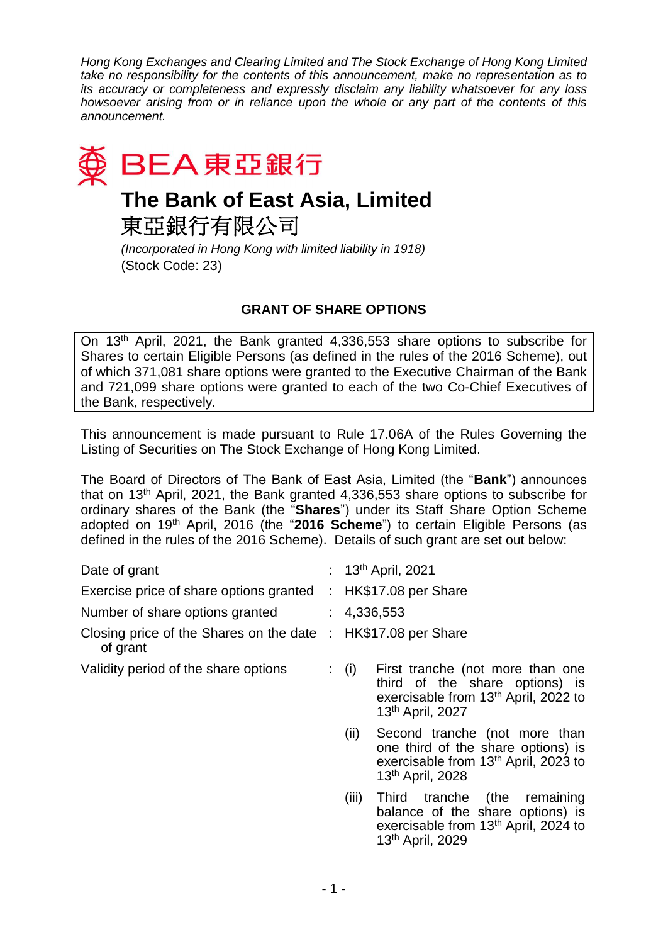*Hong Kong Exchanges and Clearing Limited and The Stock Exchange of Hong Kong Limited take no responsibility for the contents of this announcement, make no representation as to its accuracy or completeness and expressly disclaim any liability whatsoever for any loss howsoever arising from or in reliance upon the whole or any part of the contents of this announcement.*



東亞銀行有限公司

*(Incorporated in Hong Kong with limited liability in 1918)* (Stock Code: 23)

## **GRANT OF SHARE OPTIONS**

On 13th April, 2021, the Bank granted 4,336,553 share options to subscribe for Shares to certain Eligible Persons (as defined in the rules of the 2016 Scheme), out of which 371,081 share options were granted to the Executive Chairman of the Bank and 721,099 share options were granted to each of the two Co-Chief Executives of the Bank, respectively.

This announcement is made pursuant to Rule 17.06A of the Rules Governing the Listing of Securities on The Stock Exchange of Hong Kong Limited.

The Board of Directors of The Bank of East Asia, Limited (the "**Bank**") announces that on 13th April, 2021, the Bank granted 4,336,553 share options to subscribe for ordinary shares of the Bank (the "**Shares**") under its Staff Share Option Scheme adopted on 19<sup>th</sup> April, 2016 (the "2016 Scheme") to certain Eligible Persons (as defined in the rules of the 2016 Scheme). Details of such grant are set out below:

| Date of grant                                                             | : $13^{th}$ April, 2021                                                                                                                                          |
|---------------------------------------------------------------------------|------------------------------------------------------------------------------------------------------------------------------------------------------------------|
| Exercise price of share options granted                                   | : HK\$17.08 per Share                                                                                                                                            |
| Number of share options granted                                           | : 4,336,553                                                                                                                                                      |
| Closing price of the Shares on the date : HK\$17.08 per Share<br>of grant |                                                                                                                                                                  |
| Validity period of the share options                                      | First tranche (not more than one<br>$\colon$ (i)<br>third of the share options) is<br>exercisable from 13 <sup>th</sup> April, 2022 to<br>13th April, 2027       |
|                                                                           | Second tranche (not more than<br>(ii)<br>one third of the share options) is<br>exercisable from 13 <sup>th</sup> April, 2023 to<br>13 <sup>th</sup> April, 2028  |
|                                                                           | Third tranche (the<br>(iii)<br>remaining<br>balance of the share options) is<br>exercisable from 13 <sup>th</sup> April, 2024 to<br>13 <sup>th</sup> April, 2029 |